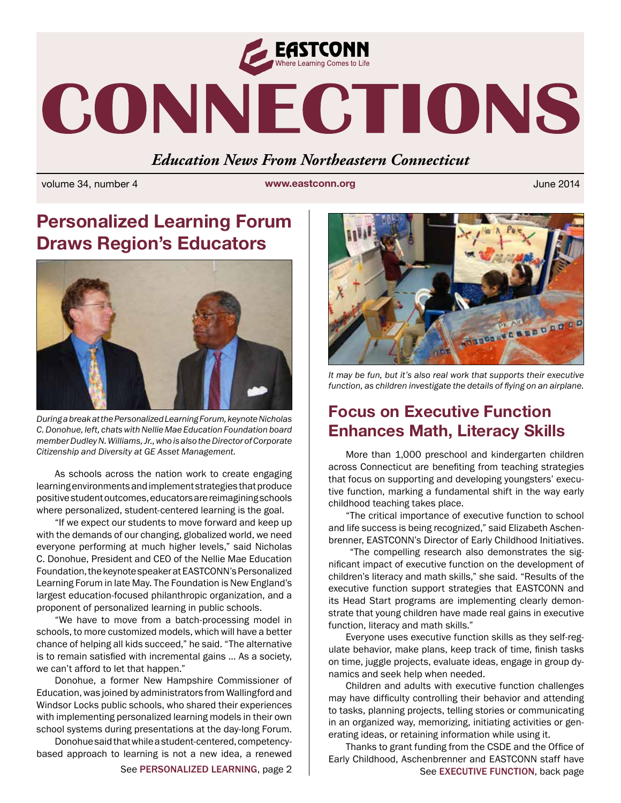

# CONNECTIONS

*Education News From Northeastern Connecticut*

volume 34, number 4 **www.eastconn.org** June 2014

# **Personalized Learning Forum Draws Region's Educators**



*During a break at the Personalized Learning Forum, keynote Nicholas C. Donohue, left, chats with Nellie Mae Education Foundation board member Dudley N. Williams, Jr., who is also the Director of Corporate Citizenship and Diversity at GE Asset Management.* 

As schools across the nation work to create engaging learning environments and implement strategies that produce positive student outcomes, educators are reimagining schools where personalized, student-centered learning is the goal.

"If we expect our students to move forward and keep up with the demands of our changing, globalized world, we need everyone performing at much higher levels," said Nicholas C. Donohue, President and CEO of the Nellie Mae Education Foundation, the keynote speaker at EASTCONN's Personalized Learning Forum in late May. The Foundation is New England's largest education-focused philanthropic organization, and a proponent of personalized learning in public schools.

"We have to move from a batch-processing model in schools, to more customized models, which will have a better chance of helping all kids succeed," he said. "The alternative is to remain satisfed with incremental gains … As a society, we can't afford to let that happen."

Donohue, a former New Hampshire Commissioner of Education, was joined by administrators from Wallingford and Windsor Locks public schools, who shared their experiences with implementing personalized learning models in their own school systems during presentations at the day-long Forum.

Donohue said that while a student-centered, competencybased approach to learning is not a new idea, a renewed



*It may be fun, but it's also real work that supports their executive function, as children investigate the details of fying on an airplane.* 

## **Focus on Executive Function Enhances Math, Literacy Skills**

More than 1,000 preschool and kindergarten children across Connecticut are benefting from teaching strategies that focus on supporting and developing youngsters' executive function, marking a fundamental shift in the way early childhood teaching takes place.

"The critical importance of executive function to school and life success is being recognized," said Elizabeth Aschenbrenner, EASTCONN's Director of Early Childhood Initiatives.

 "The compelling research also demonstrates the signifcant impact of executive function on the development of children's literacy and math skills," she said. "Results of the executive function support strategies that EASTCONN and its Head Start programs are implementing clearly demonstrate that young children have made real gains in executive function, literacy and math skills."

Everyone uses executive function skills as they self-regulate behavior, make plans, keep track of time, finish tasks on time, juggle projects, evaluate ideas, engage in group dynamics and seek help when needed.

Children and adults with executive function challenges may have diffculty controlling their behavior and attending to tasks, planning projects, telling stories or communicating in an organized way, memorizing, initiating activities or generating ideas, or retaining information while using it.

See PERSONALIZED LEARNING, page 2 | See EXECUTIVE FUNCTION, back page Thanks to grant funding from the CSDE and the Office of Early Childhood, Aschenbrenner and EASTCONN staff have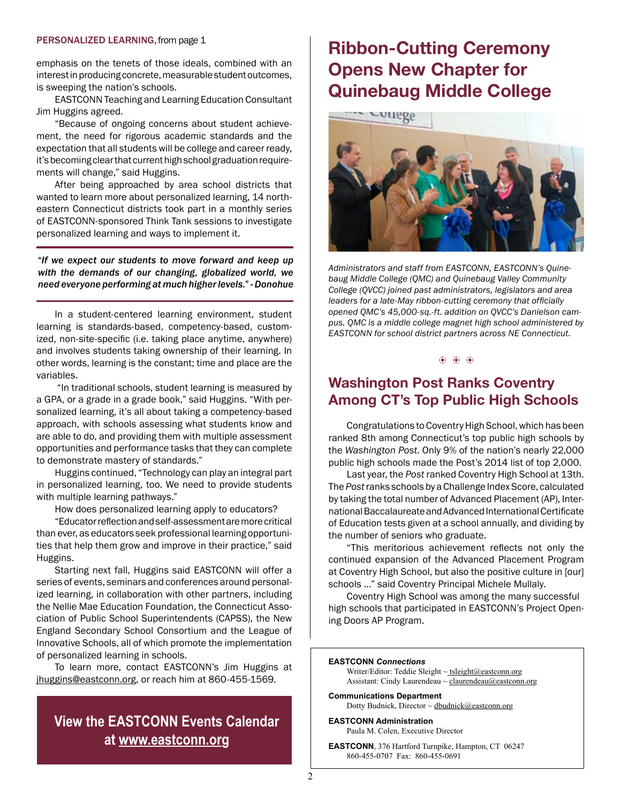#### PERSONALIZED LEARNING, from page 1

emphasis on the tenets of those ideals, combined with an interest in producing concrete, measurable student outcomes, is sweeping the nation's schools.

EASTCONN Teaching and Learning Education Consultant Jim Huggins agreed.

"Because of ongoing concerns about student achievement, the need for rigorous academic standards and the expectation that all students will be college and career ready, it's becoming clear that current high school graduation requirements will change," said Huggins.

After being approached by area school districts that wanted to learn more about personalized learning, 14 northeastern Connecticut districts took part in a monthly series of EASTCONN-sponsored Think Tank sessions to investigate personalized learning and ways to implement it.

"*If we expect our students to move forward and keep up with the demands of our changing, globalized world, we need everyone performing at much higher levels.*" - *Donohue*

In a student-centered learning environment, student learning is standards-based, competency-based, customized, non-site-specific (i.e. taking place anytime, anywhere) and involves students taking ownership of their learning. In other words, learning is the constant; time and place are the variables.

 "In traditional schools, student learning is measured by a GPA, or a grade in a grade book," said Huggins. "With personalized learning, it's all about taking a competency-based approach, with schools assessing what students know and are able to do, and providing them with multiple assessment opportunities and performance tasks that they can complete to demonstrate mastery of standards."

Huggins continued, "Technology can play an integral part in personalized learning, too. We need to provide students with multiple learning pathways."

How does personalized learning apply to educators?

"Educator refection and self-assessment are more critical than ever, as educators seek professional learning opportunities that help them grow and improve in their practice," said Huggins.

Starting next fall, Huggins said EASTCONN will offer a series of events, seminars and conferences around personalized learning, in collaboration with other partners, including the Nellie Mae Education Foundation, the Connecticut Association of Public School Superintendents (CAPSS), the New England Secondary School Consortium and the League of Innovative Schools, all of which promote the implementation of personalized learning in schools.

To learn more, contact EASTCONN's Jim Huggins at [jhuggins@eastconn.org](mailto:jhuggins@eastconn.org), or reach him at 860-455-1569.

## **View the EASTCONN Events Calendar at<www.eastconn.org>**

# **Ribbon-Cutting Ceremony Opens New Chapter for Quinebaug Middle College**



*Administrators and staff from EASTCONN, EASTCONN's Quinebaug Middle College (QMC) and Quinebaug Valley Community College (QVCC) joined past administrators, legislators and area leaders for a late-May ribbon-cutting ceremony that offcially opened QMC's 45,000-sq.-ft. addition on QVCC's Danielson campus. QMC is a middle college magnet high school administered by EASTCONN for school district partners across NE Connecticut.* 

#### $\ddot{\textbf{a}}$   $\ddot{\textbf{b}}$   $\ddot{\textbf{a}}$   $\ddot{\textbf{b}}$

## **Washington Post Ranks Coventry Among CT's Top Public High Schools**

Congratulations to Coventry High School, which has been ranked 8th among Connecticut's top public high schools by the *Washington Post*. Only 9% of the nation's nearly 22,000 public high schools made the Post's 2014 list of top 2,000.

Last year, the *Post* ranked Coventry High School at 13th. The *Post* ranks schools by a Challenge Index Score, calculated by taking the total number of Advanced Placement (AP), International Baccalaureate and Advanced International Certifcate of Education tests given at a school annually, and dividing by the number of seniors who graduate.

"This meritorious achievement refects not only the continued expansion of the Advanced Placement Program at Coventry High School, but also the positive culture in [our] schools …" said Coventry Principal Michele Mullaly.

Coventry High School was among the many successful high schools that participated in EASTCONN's Project Opening Doors AP Program.

#### **EASTCONN** *Connections*

Writer/Editor: Teddie Sleight  $\sim$  tsleight@eastconn.org Assistant: Cindy Laurendeau ~ [claurendeau@eastconn.org](mailto:claurendeau@eastconn.org)

**[Communications Department](%20mailto:connections@eastconn.org)** [Dotty Budnick](mailto:dbudnick@eastconn.org), Director  $\sim$  dbudnick@eastconn.org

**EASTCONN Administration** Paula M. Colen, Executive Director

**EASTCONN**, 376 Hartford Turnpike, Hampton, CT 06247 860-455-0707 Fax: 860-455-0691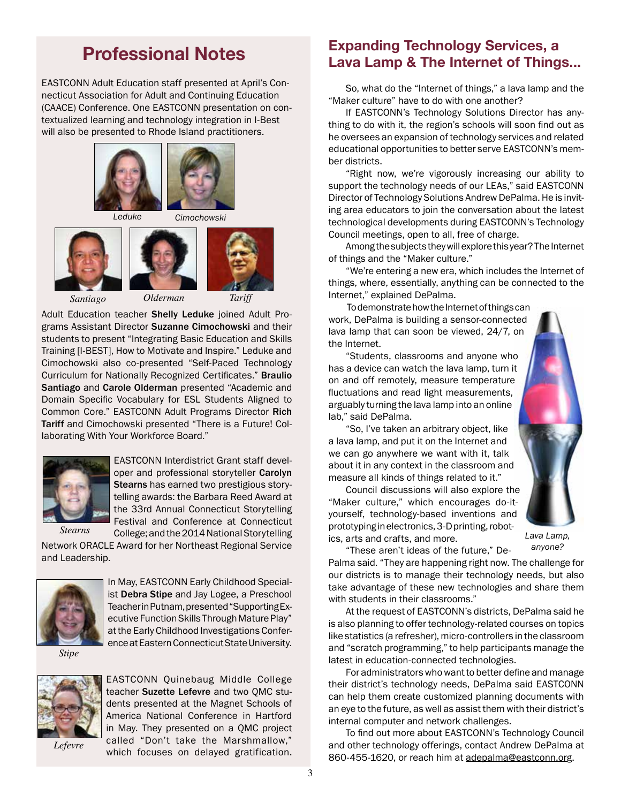# **Professional Notes**

EASTCONN Adult Education staff presented at April's Connecticut Association for Adult and Continuing Education (CAACE) Conference. One EASTCONN presentation on contextualized learning and technology integration in I-Best will also be presented to Rhode Island practitioners.







*Santiago Olderman Tariff*

Adult Education teacher Shelly Leduke joined Adult Programs Assistant Director Suzanne Cimochowski and their students to present "Integrating Basic Education and Skills Training [I-BEST], How to Motivate and Inspire." Leduke and Cimochowski also co-presented "Self-Paced Technology Curriculum for Nationally Recognized Certifcates." Braulio Santiago and Carole Olderman presented "Academic and Domain Specifc Vocabulary for ESL Students Aligned to Common Core." EASTCONN Adult Programs Director Rich Tariff and Cimochowski presented "There is a Future! Collaborating With Your Workforce Board."



EASTCONN Interdistrict Grant staff developer and professional storyteller Carolyn Stearns has earned two prestigious storytelling awards: the Barbara Reed Award at the 33rd Annual Connecticut Storytelling Festival and Conference at Connecticut College; and the 2014 National Storytelling

*Stearns*

Network ORACLE Award for her Northeast Regional Service and Leadership.



In May, EASTCONN Early Childhood Specialist Debra Stipe and Jay Logee, a Preschool Teacher in Putnam, presented "Supporting Executive Function Skills Through Mature Play" at the Early Childhood Investigations Conference at Eastern Connecticut State University.

*Stipe*



EASTCONN Quinebaug Middle College teacher Suzette Lefevre and two QMC students presented at the Magnet Schools of America National Conference in Hartford in May. They presented on a QMC project called "Don't take the Marshmallow," which focuses on delayed gratification.

*Lefevre*

## **Expanding Technology Services, a Lava Lamp & The Internet of Things...**

So, what do the "Internet of things," a lava lamp and the "Maker culture" have to do with one another?

If EASTCONN's Technology Solutions Director has anything to do with it, the region's schools will soon fnd out as he oversees an expansion of technology services and related educational opportunities to better serve EASTCONN's member districts.

"Right now, we're vigorously increasing our ability to support the technology needs of our LEAs," said EASTCONN Director of Technology Solutions Andrew DePalma. He is inviting area educators to join the conversation about the latest technological developments during EASTCONN's Technology Council meetings, open to all, free of charge.

Among the subjects they will explore this year? The Internet of things and the "Maker culture."

"We're entering a new era, which includes the Internet of things, where, essentially, anything can be connected to the Internet," explained DePalma.

 To demonstrate how the Internet of things can work, DePalma is building a sensor-connected lava lamp that can soon be viewed, 24/7, on the Internet.

"Students, classrooms and anyone who has a device can watch the lava lamp, turn it on and off remotely, measure temperature fuctuations and read light measurements, arguably turning the lava lamp into an online lab," said DePalma.

"So, I've taken an arbitrary object, like a lava lamp, and put it on the Internet and we can go anywhere we want with it, talk about it in any context in the classroom and measure all kinds of things related to it."

Council discussions will also explore the "Maker culture," which encourages do-ityourself, technology-based inventions and prototyping in electronics, 3-D printing, robotics, arts and crafts, and more.



*Lava Lamp, anyone?*

"These aren't ideas of the future," De-Palma said. "They are happening right now. The challenge for our districts is to manage their technology needs, but also take advantage of these new technologies and share them

with students in their classrooms." At the request of EASTCONN's districts, DePalma said he is also planning to offer technology-related courses on topics like statistics (a refresher), micro-controllers in the classroom and "scratch programming," to help participants manage the latest in education-connected technologies.

For administrators who want to better defne and manage their district's technology needs, DePalma said EASTCONN can help them create customized planning documents with an eye to the future, as well as assist them with their district's internal computer and network challenges.

To find out more about EASTCONN's Technology Council and other technology offerings, contact Andrew DePalma at 860-455-1620, or reach him at adepalma@eastconn.org.

3